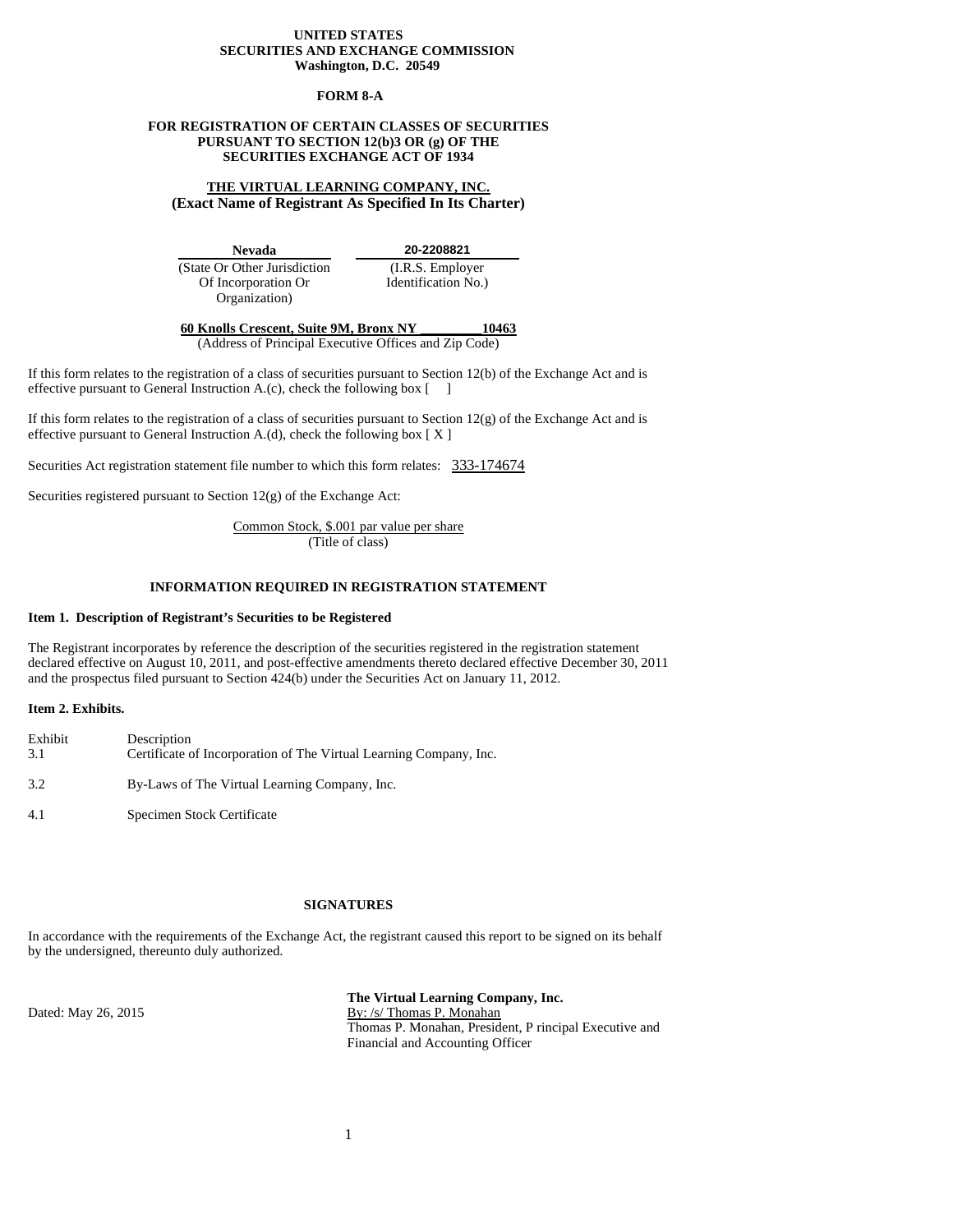#### **UNITED STATES SECURITIES AND EXCHANGE COMMISSION Washington, D.C. 20549**

#### **FORM 8-A**

#### **FOR REGISTRATION OF CERTAIN CLASSES OF SECURITIES PURSUANT TO SECTION 12(b)3 OR (g) OF THE SECURITIES EXCHANGE ACT OF 1934**

#### **THE VIRTUAL LEARNING COMPANY, INC. (Exact Name of Registrant As Specified In Its Charter)**

**Nevada 20-2208821**  (State Or Other Jurisdiction Of Incorporation Or Organization)

 (I.R.S. Employer Identification No.)

**60 Knolls Crescent, Suite 9M, Bronx NY \_\_\_\_\_\_\_\_\_10463** 

(Address of Principal Executive Offices and Zip Code)

If this form relates to the registration of a class of securities pursuant to Section 12(b) of the Exchange Act and is effective pursuant to General Instruction  $A(c)$ , check the following box  $\begin{bmatrix} 1 \end{bmatrix}$ 

If this form relates to the registration of a class of securities pursuant to Section  $12(g)$  of the Exchange Act and is effective pursuant to General Instruction A.(d), check the following box [ X ]

Securities Act registration statement file number to which this form relates:  $333-174674$ 

Securities registered pursuant to Section 12(g) of the Exchange Act:

Common Stock, \$.001 par value per share

(Title of class)

#### **INFORMATION REQUIRED IN REGISTRATION STATEMENT**

#### **Item 1. Description of Registrant's Securities to be Registered**

The Registrant incorporates by reference the description of the securities registered in the registration statement declared effective on August 10, 2011, and post-effective amendments thereto declared effective December 30, 2011 and the prospectus filed pursuant to Section 424(b) under the Securities Act on January 11, 2012.

#### **Item 2. Exhibits.**

| Exhibit<br>3.1 | Description<br>Certificate of Incorporation of The Virtual Learning Company, Inc. |
|----------------|-----------------------------------------------------------------------------------|
| 3.2            | By-Laws of The Virtual Learning Company, Inc.                                     |
| 4.1            | Specimen Stock Certificate                                                        |

#### **SIGNATURES**

In accordance with the requirements of the Exchange Act, the registrant caused this report to be signed on its behalf by the undersigned, thereunto duly authorized.

 **The Virtual Learning Company, Inc.**  Dated: May 26, 2015 By: /s/ Thomas P. Monahan Thomas P. Monahan, President, P rincipal Executive and Financial and Accounting Officer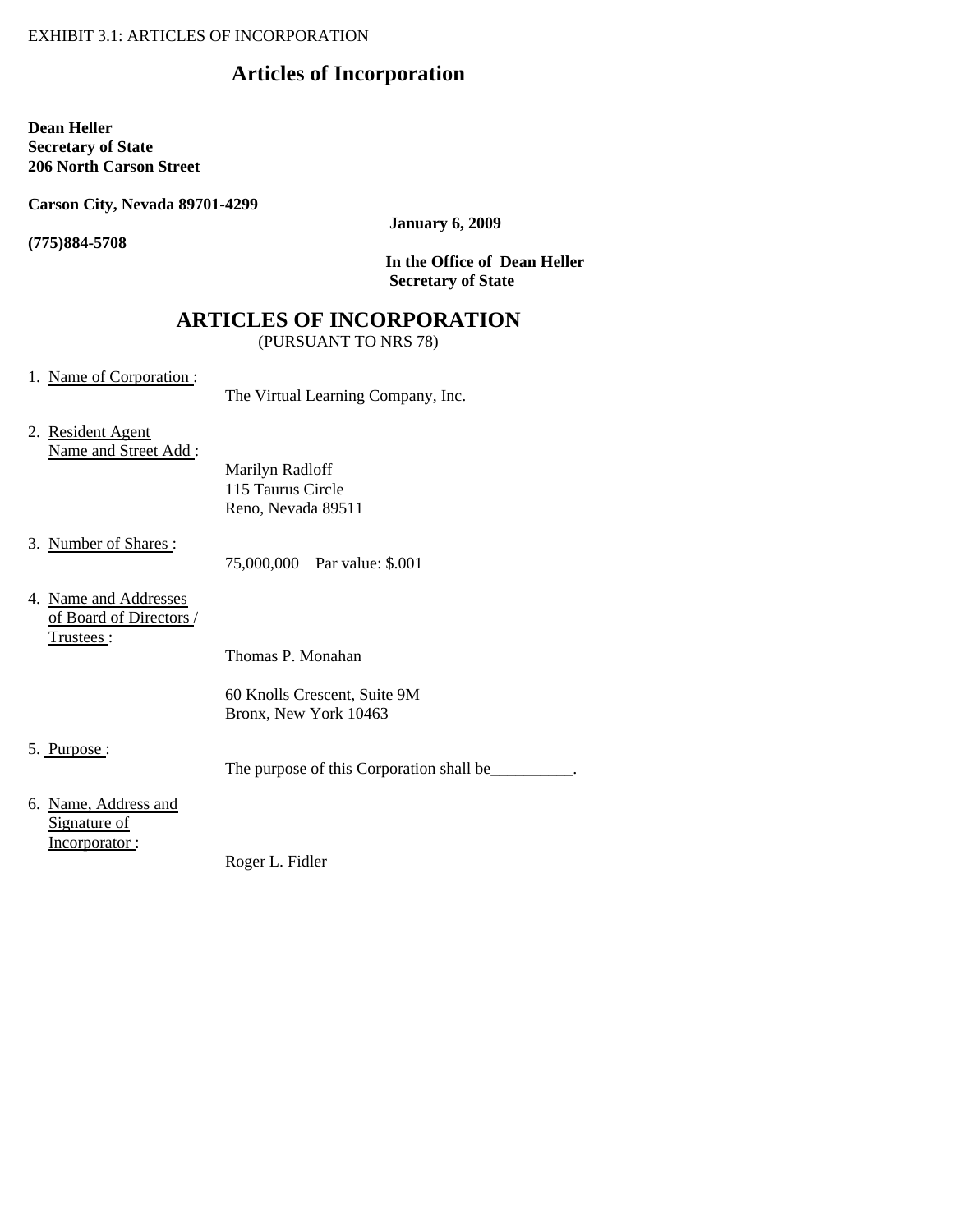## **Articles of Incorporation**

**Dean Heller Secretary of State 206 North Carson Street** 

**Carson City, Nevada 89701-4299** 

 **January 6, 2009** 

**(775)884-5708** 

 **In the Office of Dean Heller Secretary of State** 

# **ARTICLES OF INCORPORATION**

(PURSUANT TO NRS 78)

1. Name of Corporation :

The Virtual Learning Company, Inc.

2. Resident Agent Name and Street Add :

Marilyn Radloff 115 Taurus Circle Reno, Nevada 89511

3. Number of Shares :

75,000,000 Par value: \$.001

4. Name and Addresses of Board of Directors / Trustees :

Thomas P. Monahan

60 Knolls Crescent, Suite 9M Bronx, New York 10463

5. Purpose :

The purpose of this Corporation shall be\_\_\_\_\_\_\_\_\_\_.

6. Name, Address and Signature of Incorporator :

Roger L. Fidler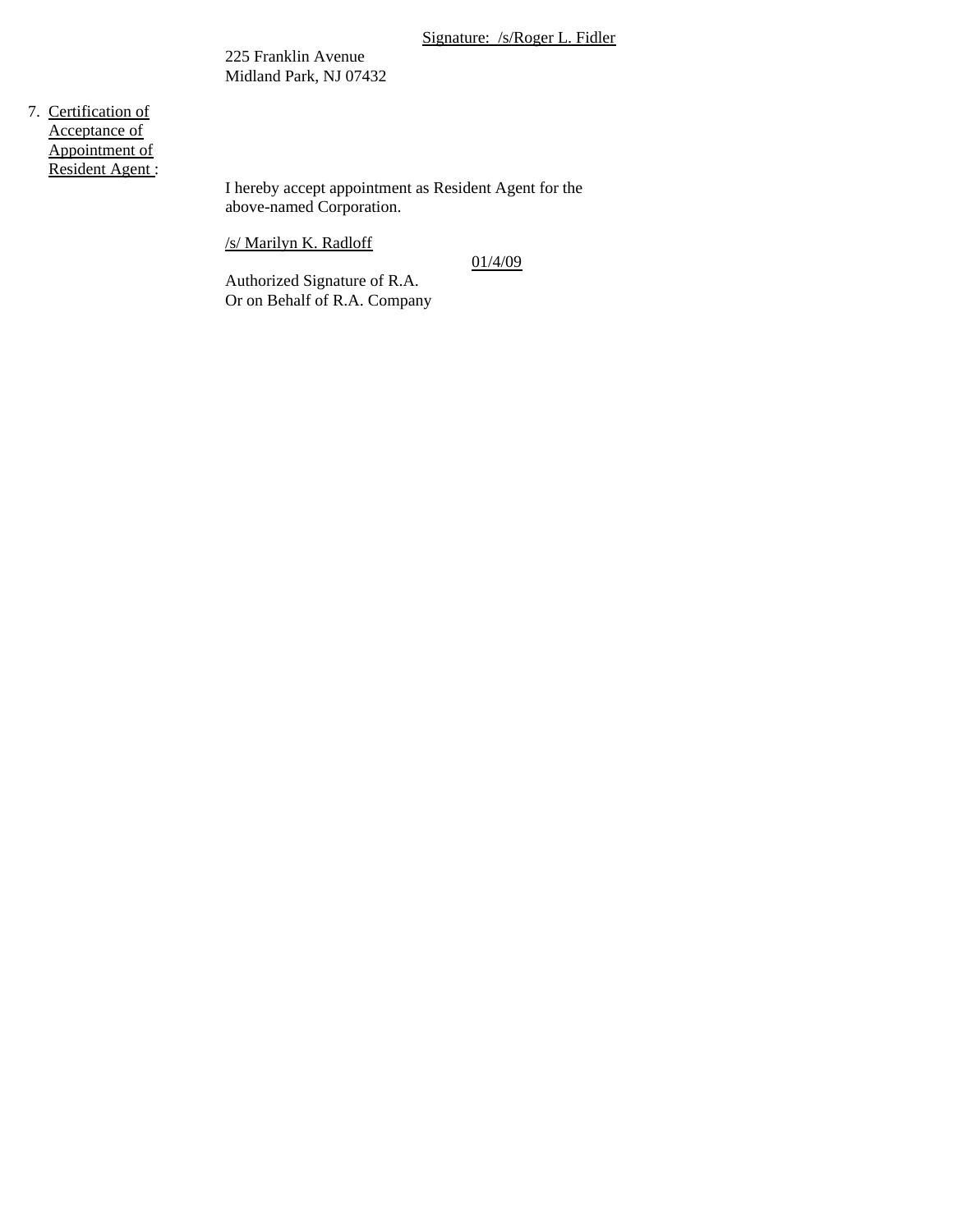Signature: /s/Roger L. Fidler

225 Franklin Avenue Midland Park, NJ 07432

## 7. Certification of Acceptance of Appointment of Resident Agent :

I hereby accept appointment as Resident Agent for the above-named Corporation.

/s/ Marilyn K. Radloff

## 01/4/09

Authorized Signature of R.A. Or on Behalf of R.A. Company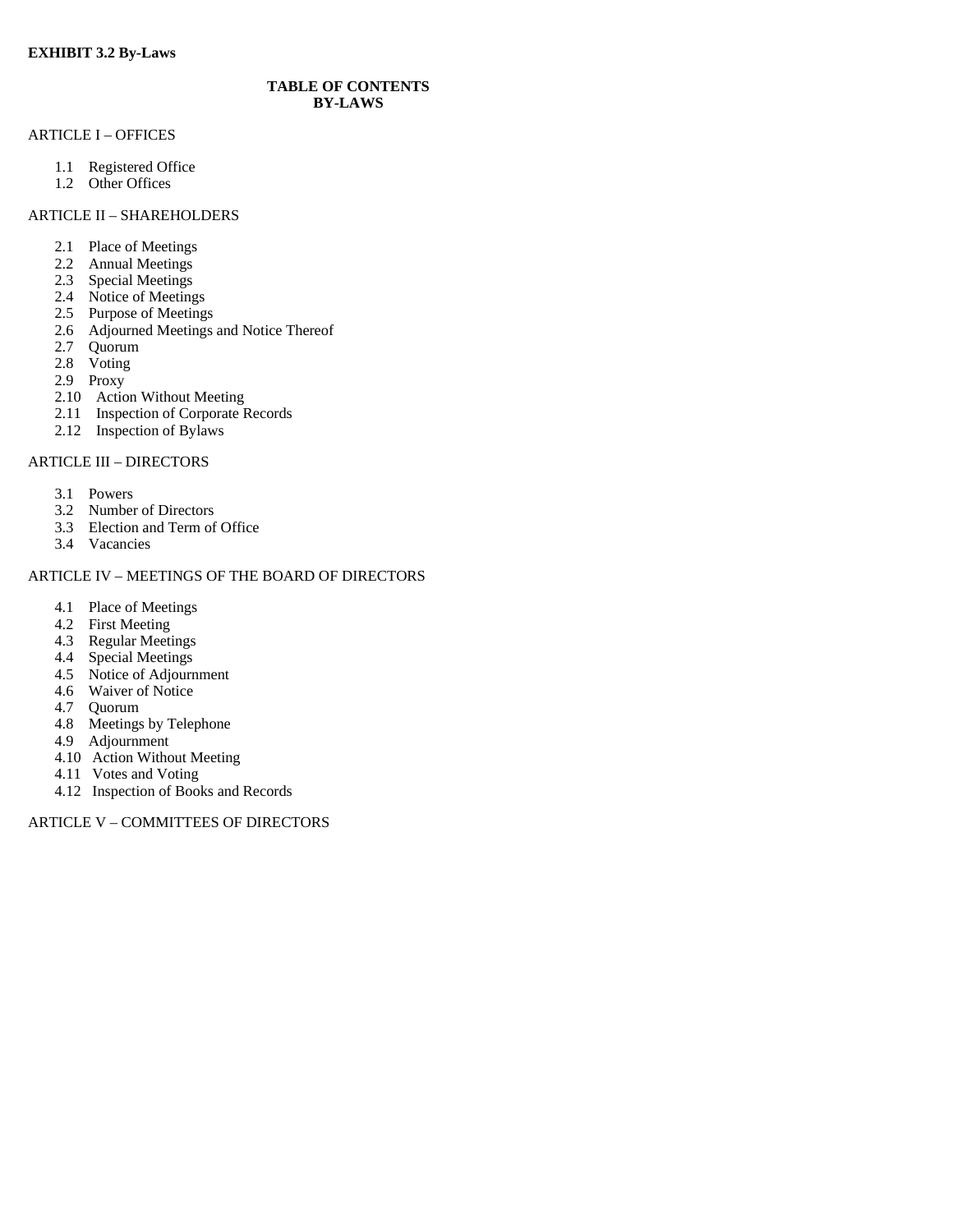## **TABLE OF CONTENTS BY-LAWS**

#### ARTICLE I – OFFICES

- 1.1 Registered Office
- 1.2 Other Offices

## ARTICLE II – SHAREHOLDERS

- 2.1 Place of Meetings
- 2.2 Annual Meetings
- 2.3 Special Meetings
- 2.4 Notice of Meetings
- 2.5 Purpose of Meetings
- 2.6 Adjourned Meetings and Notice Thereof
- 2.7 Quorum
- 2.8 Voting
- 2.9 Proxy
- 2.10 Action Without Meeting
- 2.11 Inspection of Corporate Records
- 2.12 Inspection of Bylaws

## ARTICLE III – DIRECTORS

- 3.1 Powers
- 3.2 Number of Directors
- 3.3 Election and Term of Office
- 3.4 Vacancies

## ARTICLE IV – MEETINGS OF THE BOARD OF DIRECTORS

- 4.1 Place of Meetings
- 4.2 First Meeting
- 4.3 Regular Meetings
- 4.4 Special Meetings
- 4.5 Notice of Adjournment
- 4.6 Waiver of Notice
- 4.7 Quorum
- 4.8 Meetings by Telephone
- 4.9 Adjournment
- 4.10 Action Without Meeting
- 4.11 Votes and Voting
- 4.12 Inspection of Books and Records

ARTICLE V – COMMITTEES OF DIRECTORS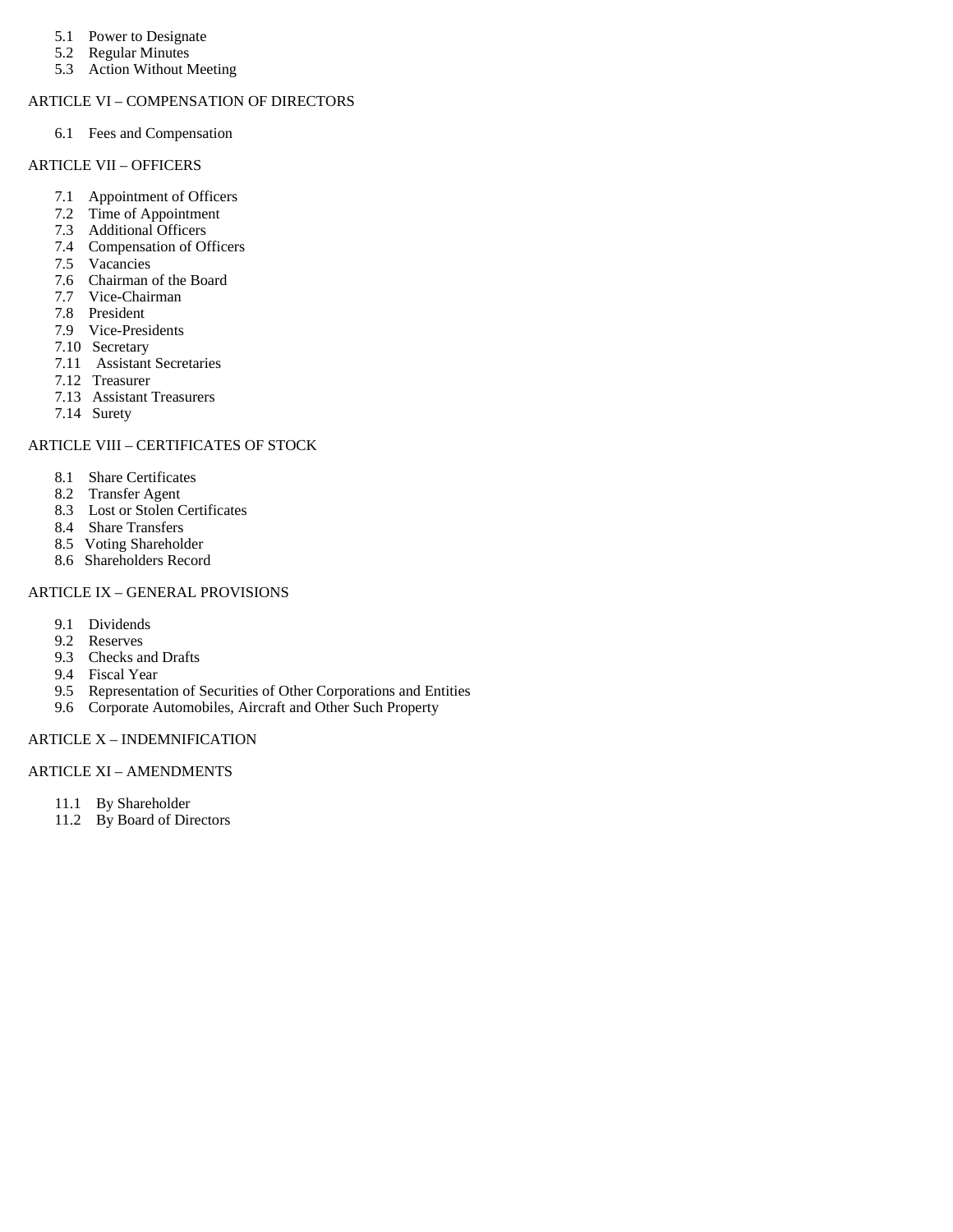- 5.1 Power to Designate
- 5.2 Regular Minutes
- 5.3 Action Without Meeting

## ARTICLE VI – COMPENSATION OF DIRECTORS

6.1 Fees and Compensation

## ARTICLE VII – OFFICERS

- 7.1 Appointment of Officers
- 7.2 Time of Appointment
- 7.3 Additional Officers
- 7.4 Compensation of Officers
- 7.5 Vacancies
- 7.6 Chairman of the Board
- 7.7 Vice-Chairman
- 7.8 President
- 7.9 Vice-Presidents
- 7.10 Secretary
- 7.11 Assistant Secretaries
- 7.12 Treasurer
- 7.13 Assistant Treasurers
- 7.14 Surety

## ARTICLE VIII – CERTIFICATES OF STOCK

- 8.1 Share Certificates
- 8.2 Transfer Agent
- 8.3 Lost or Stolen Certificates
- 8.4 Share Transfers
- 8.5 Voting Shareholder
- 8.6 Shareholders Record

## ARTICLE IX – GENERAL PROVISIONS

- 9.1 Dividends
- 9.2 Reserves
- 9.3 Checks and Drafts
- 9.4 Fiscal Year
- 9.5 Representation of Securities of Other Corporations and Entities
- 9.6 Corporate Automobiles, Aircraft and Other Such Property

## ARTICLE X – INDEMNIFICATION

## ARTICLE XI – AMENDMENTS

- 11.1 By Shareholder
- 11.2 By Board of Directors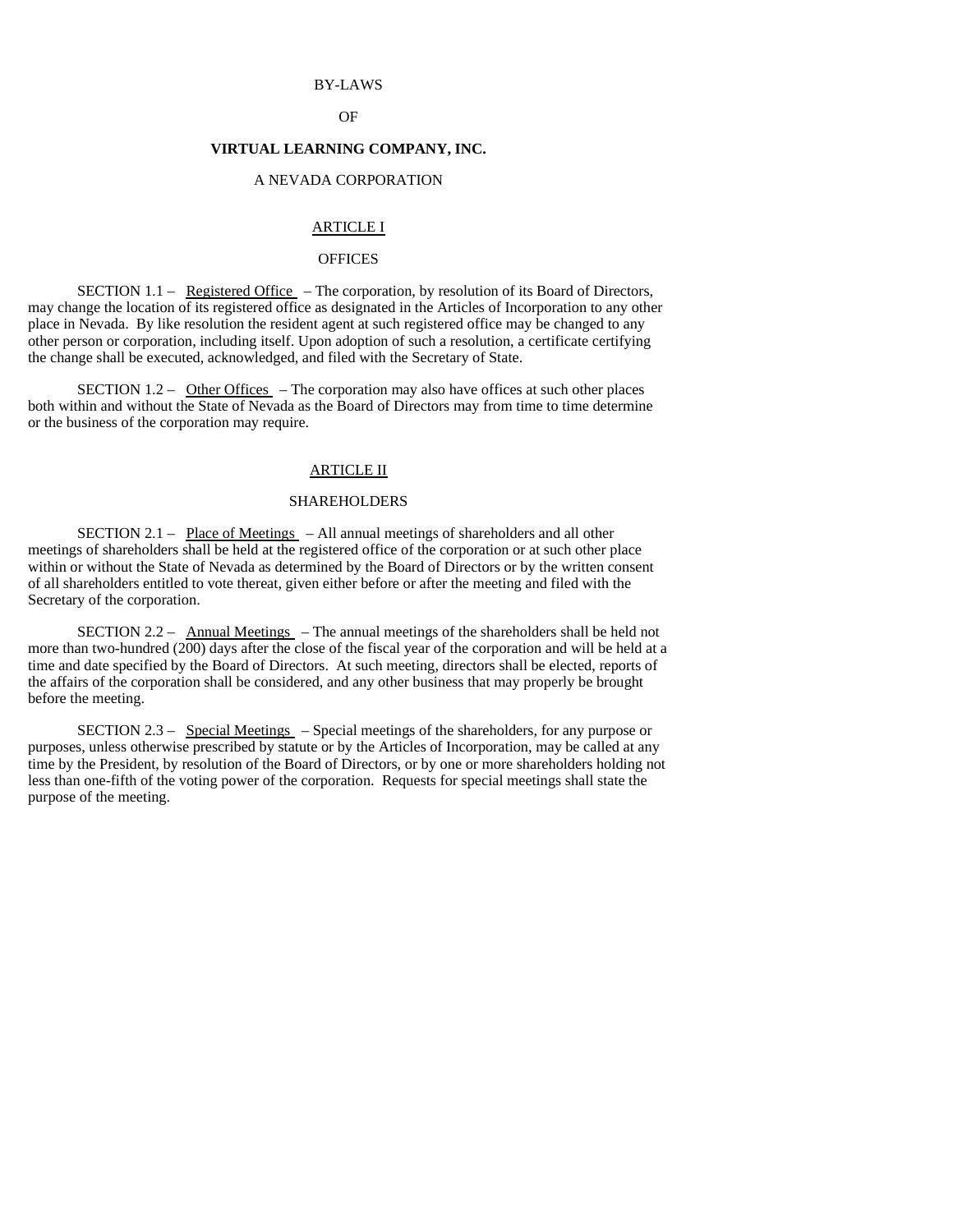#### BY-LAWS

#### OF

## **VIRTUAL LEARNING COMPANY, INC.**

#### A NEVADA CORPORATION

#### ARTICLE I

#### **OFFICES**

SECTION 1.1 – Registered Office – The corporation, by resolution of its Board of Directors, may change the location of its registered office as designated in the Articles of Incorporation to any other place in Nevada. By like resolution the resident agent at such registered office may be changed to any other person or corporation, including itself. Upon adoption of such a resolution, a certificate certifying the change shall be executed, acknowledged, and filed with the Secretary of State.

SECTION 1.2 – Other Offices – The corporation may also have offices at such other places both within and without the State of Nevada as the Board of Directors may from time to time determine or the business of the corporation may require.

#### ARTICLE II

#### SHAREHOLDERS

SECTION 2.1 – Place of Meetings – All annual meetings of shareholders and all other meetings of shareholders shall be held at the registered office of the corporation or at such other place within or without the State of Nevada as determined by the Board of Directors or by the written consent of all shareholders entitled to vote thereat, given either before or after the meeting and filed with the Secretary of the corporation.

SECTION 2.2 – Annual Meetings – The annual meetings of the shareholders shall be held not more than two-hundred (200) days after the close of the fiscal year of the corporation and will be held at a time and date specified by the Board of Directors. At such meeting, directors shall be elected, reports of the affairs of the corporation shall be considered, and any other business that may properly be brought before the meeting.

SECTION 2.3 – Special Meetings – Special meetings of the shareholders, for any purpose or purposes, unless otherwise prescribed by statute or by the Articles of Incorporation, may be called at any time by the President, by resolution of the Board of Directors, or by one or more shareholders holding not less than one-fifth of the voting power of the corporation. Requests for special meetings shall state the purpose of the meeting.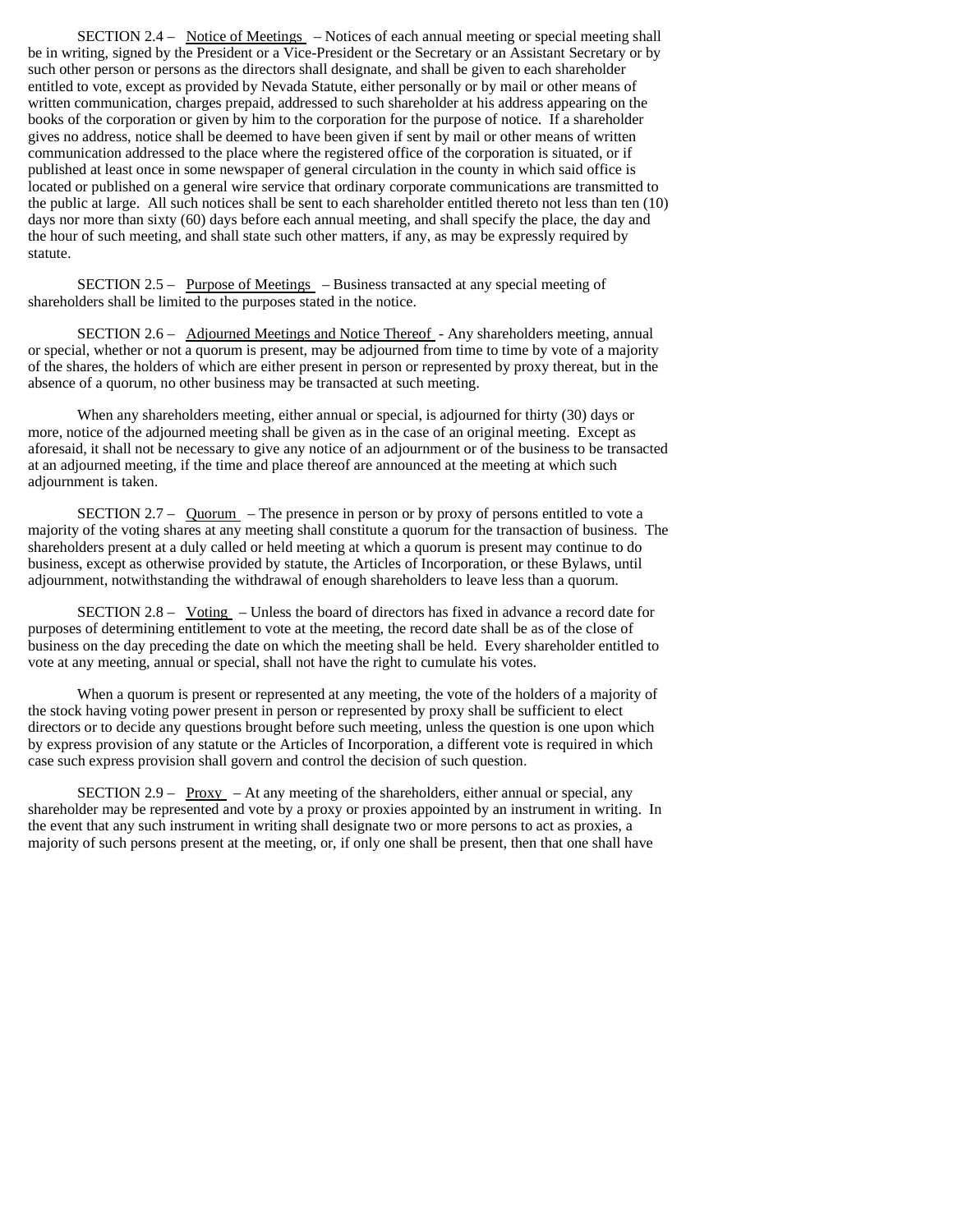SECTION 2.4 – Notice of Meetings – Notices of each annual meeting or special meeting shall be in writing, signed by the President or a Vice-President or the Secretary or an Assistant Secretary or by such other person or persons as the directors shall designate, and shall be given to each shareholder entitled to vote, except as provided by Nevada Statute, either personally or by mail or other means of written communication, charges prepaid, addressed to such shareholder at his address appearing on the books of the corporation or given by him to the corporation for the purpose of notice. If a shareholder gives no address, notice shall be deemed to have been given if sent by mail or other means of written communication addressed to the place where the registered office of the corporation is situated, or if published at least once in some newspaper of general circulation in the county in which said office is located or published on a general wire service that ordinary corporate communications are transmitted to the public at large. All such notices shall be sent to each shareholder entitled thereto not less than ten (10) days nor more than sixty (60) days before each annual meeting, and shall specify the place, the day and the hour of such meeting, and shall state such other matters, if any, as may be expressly required by statute.

SECTION 2.5 – Purpose of Meetings – Business transacted at any special meeting of shareholders shall be limited to the purposes stated in the notice.

SECTION 2.6 – Adjourned Meetings and Notice Thereof - Any shareholders meeting, annual or special, whether or not a quorum is present, may be adjourned from time to time by vote of a majority of the shares, the holders of which are either present in person or represented by proxy thereat, but in the absence of a quorum, no other business may be transacted at such meeting.

When any shareholders meeting, either annual or special, is adjourned for thirty (30) days or more, notice of the adjourned meeting shall be given as in the case of an original meeting. Except as aforesaid, it shall not be necessary to give any notice of an adjournment or of the business to be transacted at an adjourned meeting, if the time and place thereof are announced at the meeting at which such adjournment is taken.

SECTION 2.7 – Quorum – The presence in person or by proxy of persons entitled to vote a majority of the voting shares at any meeting shall constitute a quorum for the transaction of business. The shareholders present at a duly called or held meeting at which a quorum is present may continue to do business, except as otherwise provided by statute, the Articles of Incorporation, or these Bylaws, until adjournment, notwithstanding the withdrawal of enough shareholders to leave less than a quorum.

SECTION 2.8 – Voting – Unless the board of directors has fixed in advance a record date for purposes of determining entitlement to vote at the meeting, the record date shall be as of the close of business on the day preceding the date on which the meeting shall be held. Every shareholder entitled to vote at any meeting, annual or special, shall not have the right to cumulate his votes.

When a quorum is present or represented at any meeting, the vote of the holders of a majority of the stock having voting power present in person or represented by proxy shall be sufficient to elect directors or to decide any questions brought before such meeting, unless the question is one upon which by express provision of any statute or the Articles of Incorporation, a different vote is required in which case such express provision shall govern and control the decision of such question.

SECTION 2.9 –  $P_{\text{roxy}}$  – At any meeting of the shareholders, either annual or special, any shareholder may be represented and vote by a proxy or proxies appointed by an instrument in writing. In the event that any such instrument in writing shall designate two or more persons to act as proxies, a majority of such persons present at the meeting, or, if only one shall be present, then that one shall have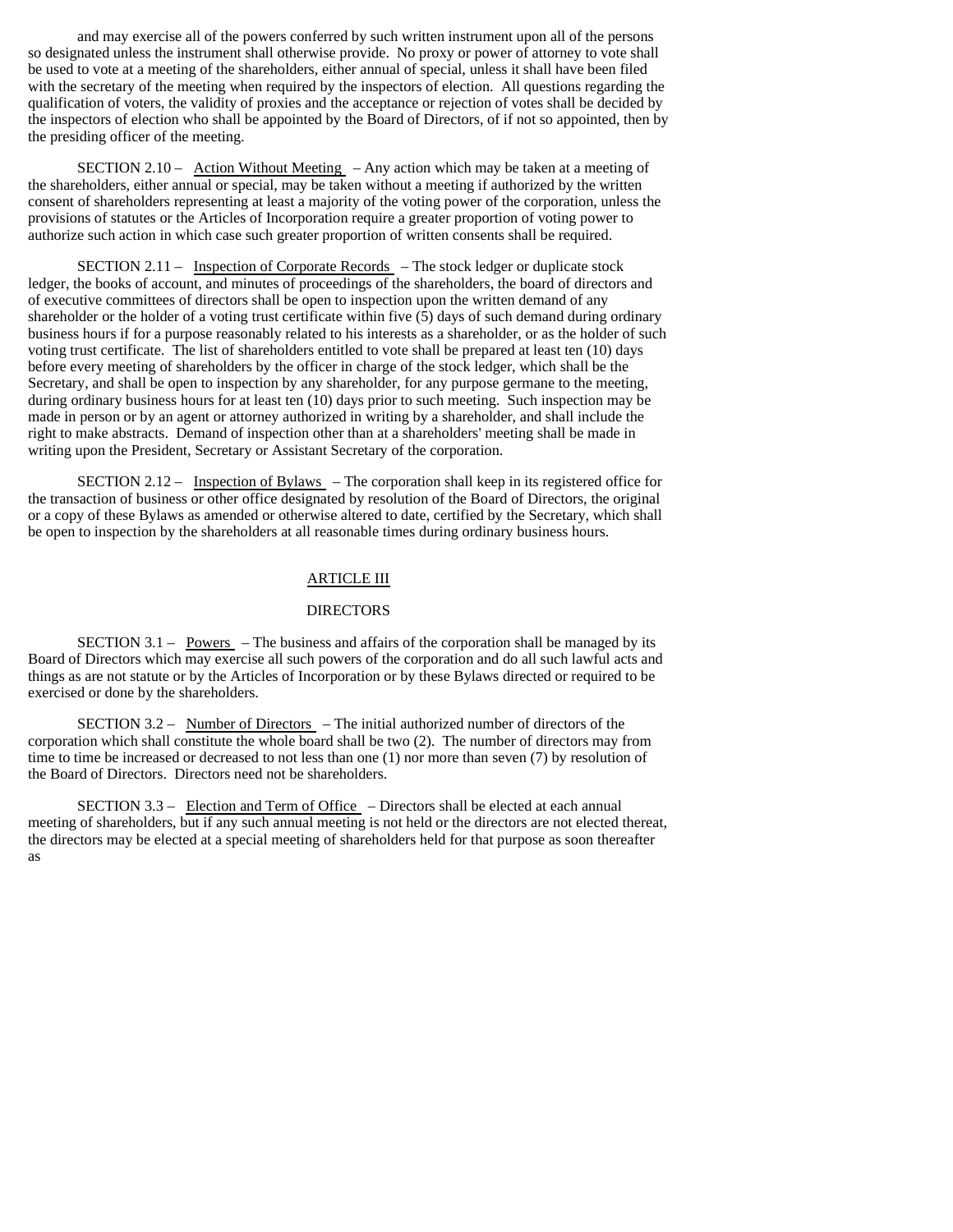and may exercise all of the powers conferred by such written instrument upon all of the persons so designated unless the instrument shall otherwise provide. No proxy or power of attorney to vote shall be used to vote at a meeting of the shareholders, either annual of special, unless it shall have been filed with the secretary of the meeting when required by the inspectors of election. All questions regarding the qualification of voters, the validity of proxies and the acceptance or rejection of votes shall be decided by the inspectors of election who shall be appointed by the Board of Directors, of if not so appointed, then by the presiding officer of the meeting.

SECTION 2.10 – Action Without Meeting  $-$  Any action which may be taken at a meeting of the shareholders, either annual or special, may be taken without a meeting if authorized by the written consent of shareholders representing at least a majority of the voting power of the corporation, unless the provisions of statutes or the Articles of Incorporation require a greater proportion of voting power to authorize such action in which case such greater proportion of written consents shall be required.

SECTION 2.11 – Inspection of Corporate Records – The stock ledger or duplicate stock ledger, the books of account, and minutes of proceedings of the shareholders, the board of directors and of executive committees of directors shall be open to inspection upon the written demand of any shareholder or the holder of a voting trust certificate within five (5) days of such demand during ordinary business hours if for a purpose reasonably related to his interests as a shareholder, or as the holder of such voting trust certificate. The list of shareholders entitled to vote shall be prepared at least ten (10) days before every meeting of shareholders by the officer in charge of the stock ledger, which shall be the Secretary, and shall be open to inspection by any shareholder, for any purpose germane to the meeting, during ordinary business hours for at least ten (10) days prior to such meeting. Such inspection may be made in person or by an agent or attorney authorized in writing by a shareholder, and shall include the right to make abstracts. Demand of inspection other than at a shareholders' meeting shall be made in writing upon the President, Secretary or Assistant Secretary of the corporation.

SECTION 2.12 – Inspection of Bylaws – The corporation shall keep in its registered office for the transaction of business or other office designated by resolution of the Board of Directors, the original or a copy of these Bylaws as amended or otherwise altered to date, certified by the Secretary, which shall be open to inspection by the shareholders at all reasonable times during ordinary business hours.

#### ARTICLE III

#### DIRECTORS

SECTION 3.1 – Powers – The business and affairs of the corporation shall be managed by its Board of Directors which may exercise all such powers of the corporation and do all such lawful acts and things as are not statute or by the Articles of Incorporation or by these Bylaws directed or required to be exercised or done by the shareholders.

SECTION 3.2 – Number of Directors – The initial authorized number of directors of the corporation which shall constitute the whole board shall be two (2). The number of directors may from time to time be increased or decreased to not less than one (1) nor more than seven (7) by resolution of the Board of Directors. Directors need not be shareholders.

SECTION 3.3 – Election and Term of Office – Directors shall be elected at each annual meeting of shareholders, but if any such annual meeting is not held or the directors are not elected thereat, the directors may be elected at a special meeting of shareholders held for that purpose as soon thereafter as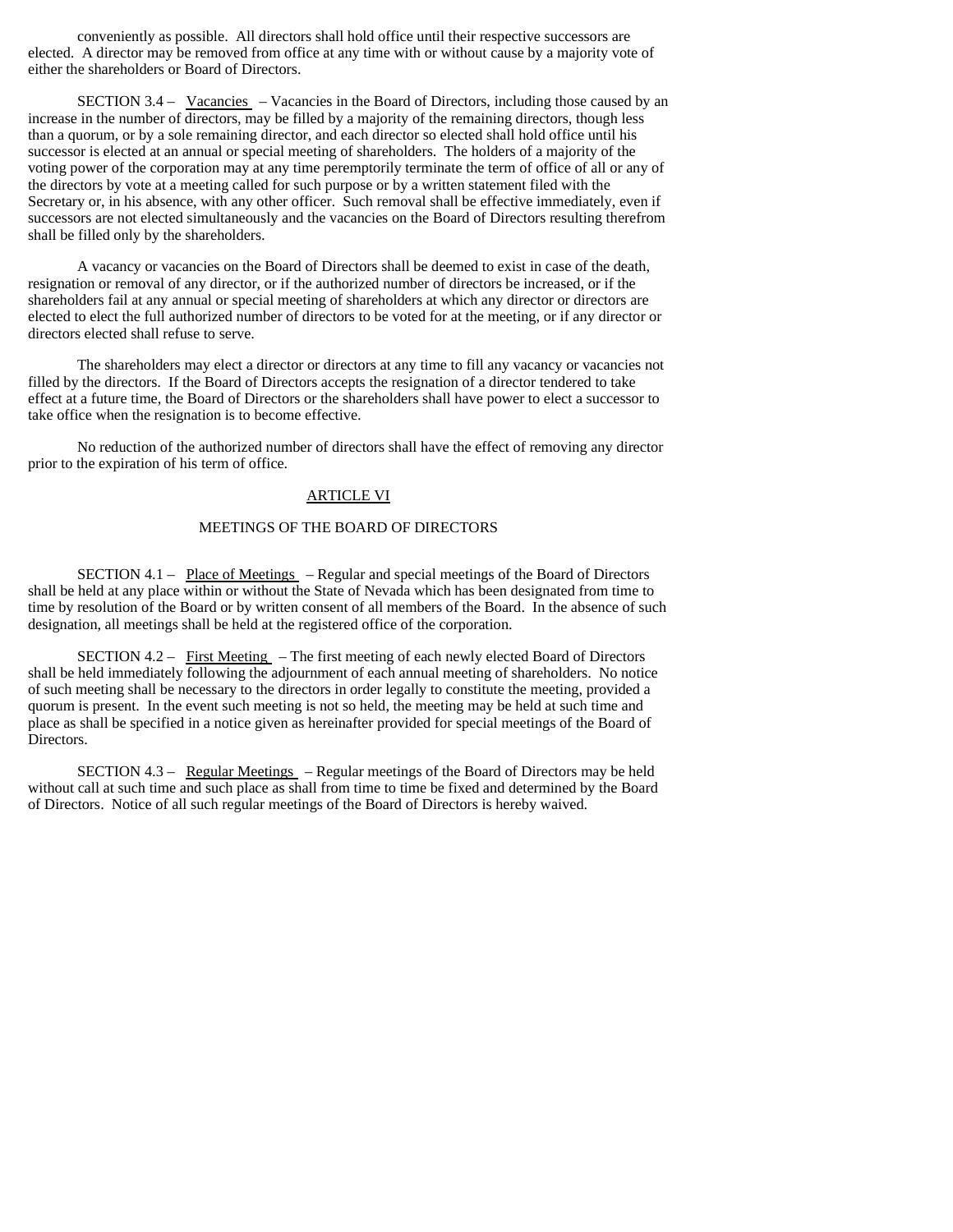conveniently as possible. All directors shall hold office until their respective successors are elected. A director may be removed from office at any time with or without cause by a majority vote of either the shareholders or Board of Directors.

SECTION 3.4 – Vacancies – Vacancies in the Board of Directors, including those caused by an increase in the number of directors, may be filled by a majority of the remaining directors, though less than a quorum, or by a sole remaining director, and each director so elected shall hold office until his successor is elected at an annual or special meeting of shareholders. The holders of a majority of the voting power of the corporation may at any time peremptorily terminate the term of office of all or any of the directors by vote at a meeting called for such purpose or by a written statement filed with the Secretary or, in his absence, with any other officer. Such removal shall be effective immediately, even if successors are not elected simultaneously and the vacancies on the Board of Directors resulting therefrom shall be filled only by the shareholders.

A vacancy or vacancies on the Board of Directors shall be deemed to exist in case of the death, resignation or removal of any director, or if the authorized number of directors be increased, or if the shareholders fail at any annual or special meeting of shareholders at which any director or directors are elected to elect the full authorized number of directors to be voted for at the meeting, or if any director or directors elected shall refuse to serve.

The shareholders may elect a director or directors at any time to fill any vacancy or vacancies not filled by the directors. If the Board of Directors accepts the resignation of a director tendered to take effect at a future time, the Board of Directors or the shareholders shall have power to elect a successor to take office when the resignation is to become effective.

No reduction of the authorized number of directors shall have the effect of removing any director prior to the expiration of his term of office.

## ARTICLE VI

#### MEETINGS OF THE BOARD OF DIRECTORS

SECTION 4.1 – Place of Meetings – Regular and special meetings of the Board of Directors shall be held at any place within or without the State of Nevada which has been designated from time to time by resolution of the Board or by written consent of all members of the Board. In the absence of such designation, all meetings shall be held at the registered office of the corporation.

SECTION 4.2 – First Meeting – The first meeting of each newly elected Board of Directors shall be held immediately following the adjournment of each annual meeting of shareholders. No notice of such meeting shall be necessary to the directors in order legally to constitute the meeting, provided a quorum is present. In the event such meeting is not so held, the meeting may be held at such time and place as shall be specified in a notice given as hereinafter provided for special meetings of the Board of Directors.

SECTION 4.3 – Regular Meetings – Regular meetings of the Board of Directors may be held without call at such time and such place as shall from time to time be fixed and determined by the Board of Directors. Notice of all such regular meetings of the Board of Directors is hereby waived.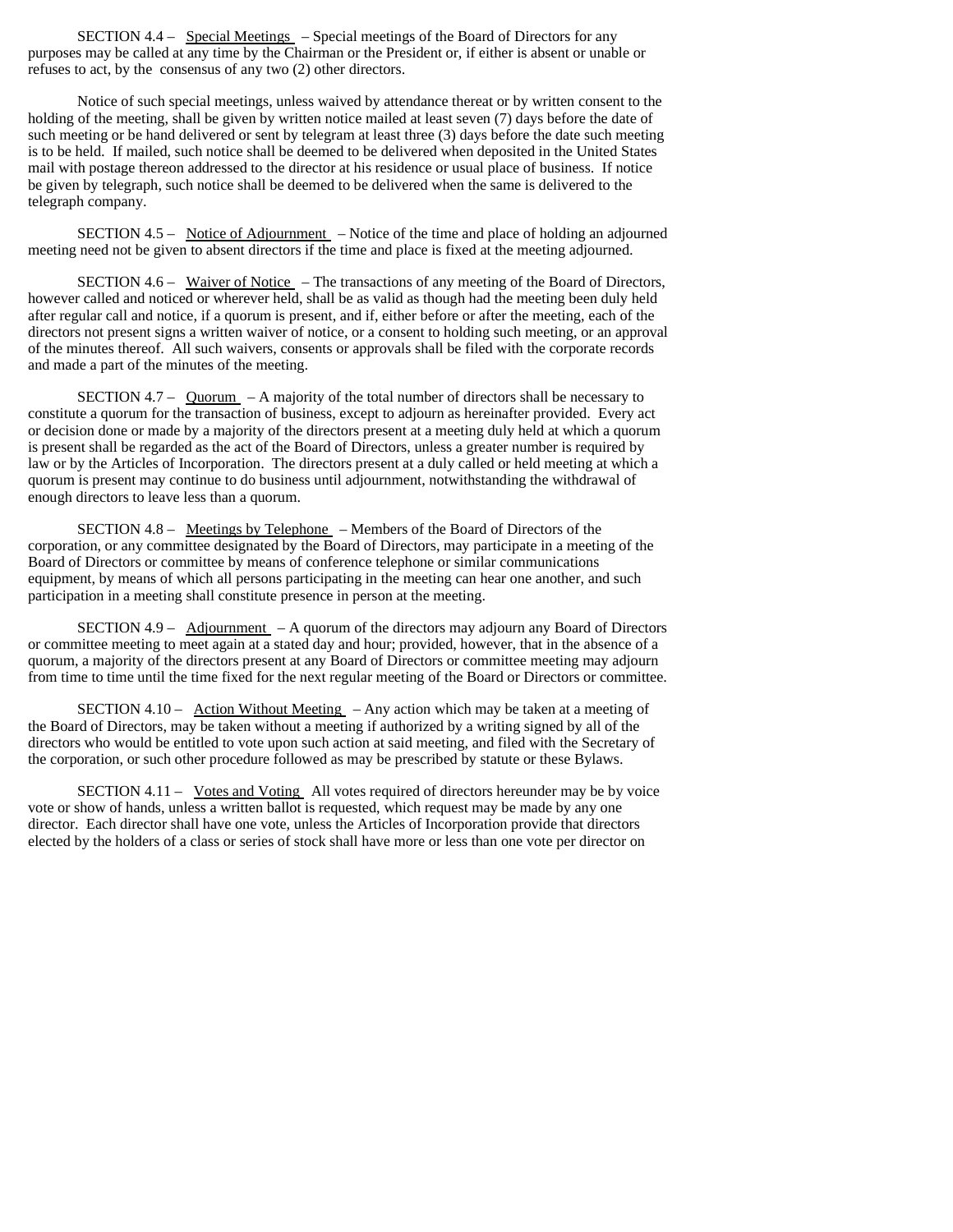SECTION 4.4 – Special Meetings – Special meetings of the Board of Directors for any purposes may be called at any time by the Chairman or the President or, if either is absent or unable or refuses to act, by the consensus of any two (2) other directors.

Notice of such special meetings, unless waived by attendance thereat or by written consent to the holding of the meeting, shall be given by written notice mailed at least seven (7) days before the date of such meeting or be hand delivered or sent by telegram at least three (3) days before the date such meeting is to be held. If mailed, such notice shall be deemed to be delivered when deposited in the United States mail with postage thereon addressed to the director at his residence or usual place of business. If notice be given by telegraph, such notice shall be deemed to be delivered when the same is delivered to the telegraph company.

SECTION 4.5 – Notice of Adjournment – Notice of the time and place of holding an adjourned meeting need not be given to absent directors if the time and place is fixed at the meeting adjourned.

SECTION 4.6 – Waiver of Notice – The transactions of any meeting of the Board of Directors, however called and noticed or wherever held, shall be as valid as though had the meeting been duly held after regular call and notice, if a quorum is present, and if, either before or after the meeting, each of the directors not present signs a written waiver of notice, or a consent to holding such meeting, or an approval of the minutes thereof. All such waivers, consents or approvals shall be filed with the corporate records and made a part of the minutes of the meeting.

SECTION  $4.7 -$  Quorum  $- A$  majority of the total number of directors shall be necessary to constitute a quorum for the transaction of business, except to adjourn as hereinafter provided. Every act or decision done or made by a majority of the directors present at a meeting duly held at which a quorum is present shall be regarded as the act of the Board of Directors, unless a greater number is required by law or by the Articles of Incorporation. The directors present at a duly called or held meeting at which a quorum is present may continue to do business until adjournment, notwithstanding the withdrawal of enough directors to leave less than a quorum.

SECTION 4.8 – Meetings by Telephone – Members of the Board of Directors of the corporation, or any committee designated by the Board of Directors, may participate in a meeting of the Board of Directors or committee by means of conference telephone or similar communications equipment, by means of which all persons participating in the meeting can hear one another, and such participation in a meeting shall constitute presence in person at the meeting.

SECTION 4.9 – Adjournment – A quorum of the directors may adjourn any Board of Directors or committee meeting to meet again at a stated day and hour; provided, however, that in the absence of a quorum, a majority of the directors present at any Board of Directors or committee meeting may adjourn from time to time until the time fixed for the next regular meeting of the Board or Directors or committee.

SECTION 4.10 – Action Without Meeting – Any action which may be taken at a meeting of the Board of Directors, may be taken without a meeting if authorized by a writing signed by all of the directors who would be entitled to vote upon such action at said meeting, and filed with the Secretary of the corporation, or such other procedure followed as may be prescribed by statute or these Bylaws.

SECTION 4.11 – Votes and Voting All votes required of directors hereunder may be by voice vote or show of hands, unless a written ballot is requested, which request may be made by any one director. Each director shall have one vote, unless the Articles of Incorporation provide that directors elected by the holders of a class or series of stock shall have more or less than one vote per director on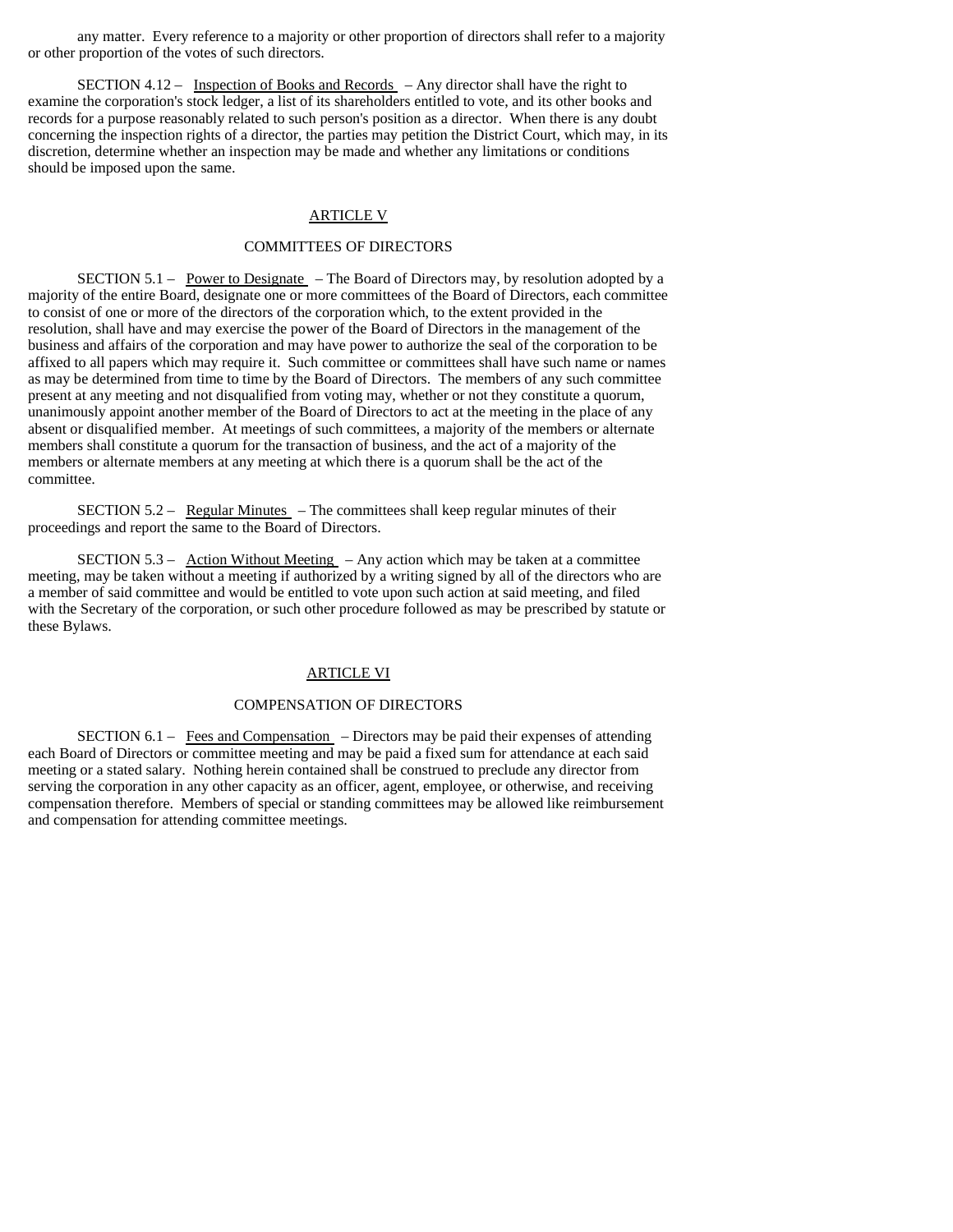any matter. Every reference to a majority or other proportion of directors shall refer to a majority or other proportion of the votes of such directors.

SECTION 4.12 – Inspection of Books and Records – Any director shall have the right to examine the corporation's stock ledger, a list of its shareholders entitled to vote, and its other books and records for a purpose reasonably related to such person's position as a director. When there is any doubt concerning the inspection rights of a director, the parties may petition the District Court, which may, in its discretion, determine whether an inspection may be made and whether any limitations or conditions should be imposed upon the same.

## ARTICLE V

## COMMITTEES OF DIRECTORS

SECTION 5.1 – Power to Designate – The Board of Directors may, by resolution adopted by a majority of the entire Board, designate one or more committees of the Board of Directors, each committee to consist of one or more of the directors of the corporation which, to the extent provided in the resolution, shall have and may exercise the power of the Board of Directors in the management of the business and affairs of the corporation and may have power to authorize the seal of the corporation to be affixed to all papers which may require it. Such committee or committees shall have such name or names as may be determined from time to time by the Board of Directors. The members of any such committee present at any meeting and not disqualified from voting may, whether or not they constitute a quorum, unanimously appoint another member of the Board of Directors to act at the meeting in the place of any absent or disqualified member. At meetings of such committees, a majority of the members or alternate members shall constitute a quorum for the transaction of business, and the act of a majority of the members or alternate members at any meeting at which there is a quorum shall be the act of the committee.

SECTION 5.2 – Regular Minutes – The committees shall keep regular minutes of their proceedings and report the same to the Board of Directors.

SECTION 5.3 – Action Without Meeting – Any action which may be taken at a committee meeting, may be taken without a meeting if authorized by a writing signed by all of the directors who are a member of said committee and would be entitled to vote upon such action at said meeting, and filed with the Secretary of the corporation, or such other procedure followed as may be prescribed by statute or these Bylaws.

#### ARTICLE VI

#### COMPENSATION OF DIRECTORS

SECTION 6.1 – Fees and Compensation – Directors may be paid their expenses of attending each Board of Directors or committee meeting and may be paid a fixed sum for attendance at each said meeting or a stated salary. Nothing herein contained shall be construed to preclude any director from serving the corporation in any other capacity as an officer, agent, employee, or otherwise, and receiving compensation therefore. Members of special or standing committees may be allowed like reimbursement and compensation for attending committee meetings.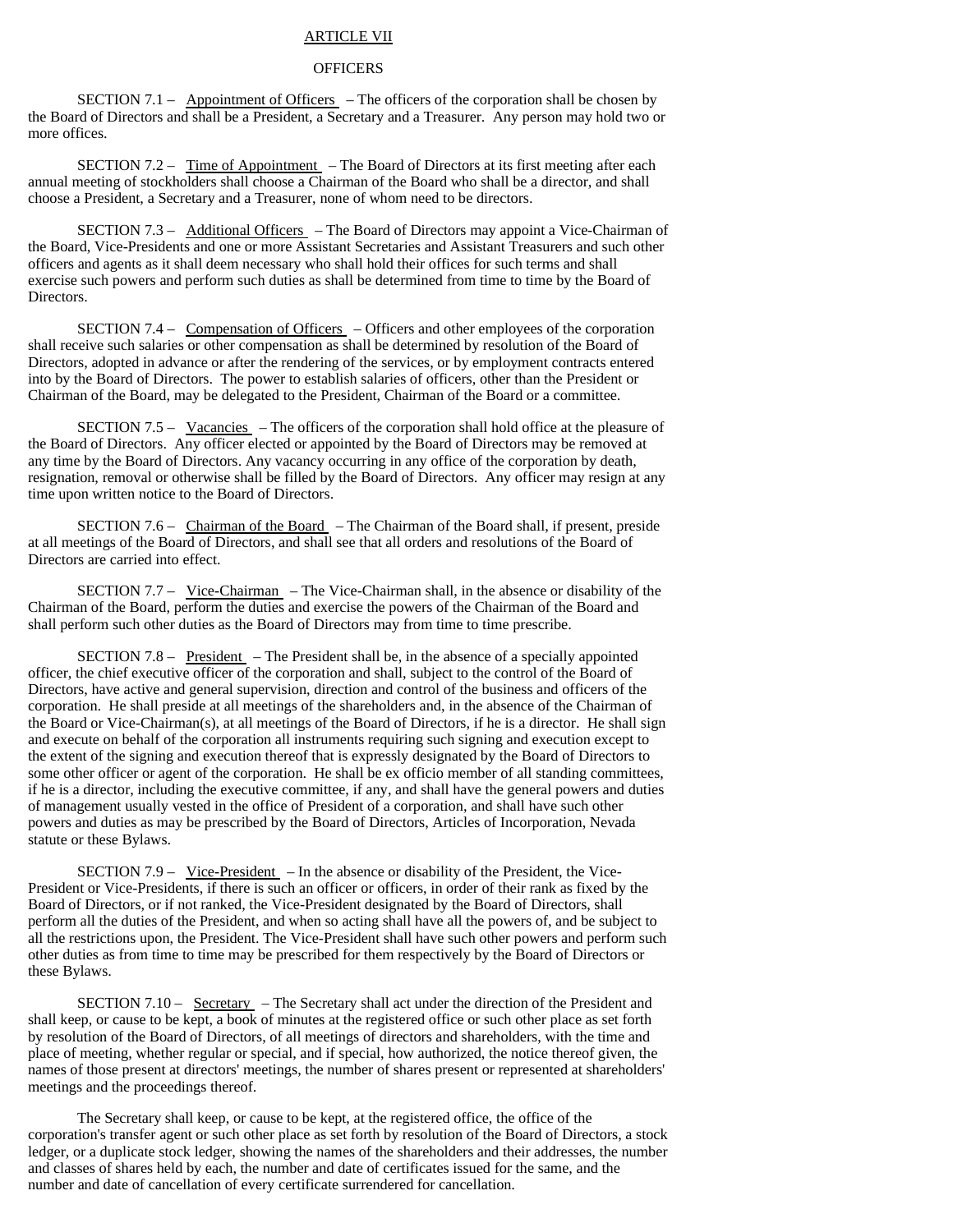## ARTICLE VII

#### **OFFICERS**

SECTION 7.1 – Appointment of Officers – The officers of the corporation shall be chosen by the Board of Directors and shall be a President, a Secretary and a Treasurer. Any person may hold two or more offices.

SECTION 7.2 – Time of Appointment – The Board of Directors at its first meeting after each annual meeting of stockholders shall choose a Chairman of the Board who shall be a director, and shall choose a President, a Secretary and a Treasurer, none of whom need to be directors.

SECTION 7.3 - Additional Officers - The Board of Directors may appoint a Vice-Chairman of the Board, Vice-Presidents and one or more Assistant Secretaries and Assistant Treasurers and such other officers and agents as it shall deem necessary who shall hold their offices for such terms and shall exercise such powers and perform such duties as shall be determined from time to time by the Board of Directors.

SECTION 7.4 – Compensation of Officers – Officers and other employees of the corporation shall receive such salaries or other compensation as shall be determined by resolution of the Board of Directors, adopted in advance or after the rendering of the services, or by employment contracts entered into by the Board of Directors. The power to establish salaries of officers, other than the President or Chairman of the Board, may be delegated to the President, Chairman of the Board or a committee.

SECTION 7.5 – Vacancies – The officers of the corporation shall hold office at the pleasure of the Board of Directors. Any officer elected or appointed by the Board of Directors may be removed at any time by the Board of Directors. Any vacancy occurring in any office of the corporation by death, resignation, removal or otherwise shall be filled by the Board of Directors. Any officer may resign at any time upon written notice to the Board of Directors.

SECTION 7.6 – Chairman of the Board – The Chairman of the Board shall, if present, preside at all meetings of the Board of Directors, and shall see that all orders and resolutions of the Board of Directors are carried into effect.

SECTION 7.7 – Vice-Chairman – The Vice-Chairman shall, in the absence or disability of the Chairman of the Board, perform the duties and exercise the powers of the Chairman of the Board and shall perform such other duties as the Board of Directors may from time to time prescribe.

SECTION 7.8 – President – The President shall be, in the absence of a specially appointed officer, the chief executive officer of the corporation and shall, subject to the control of the Board of Directors, have active and general supervision, direction and control of the business and officers of the corporation. He shall preside at all meetings of the shareholders and, in the absence of the Chairman of the Board or Vice-Chairman(s), at all meetings of the Board of Directors, if he is a director. He shall sign and execute on behalf of the corporation all instruments requiring such signing and execution except to the extent of the signing and execution thereof that is expressly designated by the Board of Directors to some other officer or agent of the corporation. He shall be ex officio member of all standing committees, if he is a director, including the executive committee, if any, and shall have the general powers and duties of management usually vested in the office of President of a corporation, and shall have such other powers and duties as may be prescribed by the Board of Directors, Articles of Incorporation, Nevada statute or these Bylaws.

SECTION 7.9 – Vice-President – In the absence or disability of the President, the Vice-President or Vice-Presidents, if there is such an officer or officers, in order of their rank as fixed by the Board of Directors, or if not ranked, the Vice-President designated by the Board of Directors, shall perform all the duties of the President, and when so acting shall have all the powers of, and be subject to all the restrictions upon, the President. The Vice-President shall have such other powers and perform such other duties as from time to time may be prescribed for them respectively by the Board of Directors or these Bylaws.

SECTION 7.10 – Secretary – The Secretary shall act under the direction of the President and shall keep, or cause to be kept, a book of minutes at the registered office or such other place as set forth by resolution of the Board of Directors, of all meetings of directors and shareholders, with the time and place of meeting, whether regular or special, and if special, how authorized, the notice thereof given, the names of those present at directors' meetings, the number of shares present or represented at shareholders' meetings and the proceedings thereof.

The Secretary shall keep, or cause to be kept, at the registered office, the office of the corporation's transfer agent or such other place as set forth by resolution of the Board of Directors, a stock ledger, or a duplicate stock ledger, showing the names of the shareholders and their addresses, the number and classes of shares held by each, the number and date of certificates issued for the same, and the number and date of cancellation of every certificate surrendered for cancellation.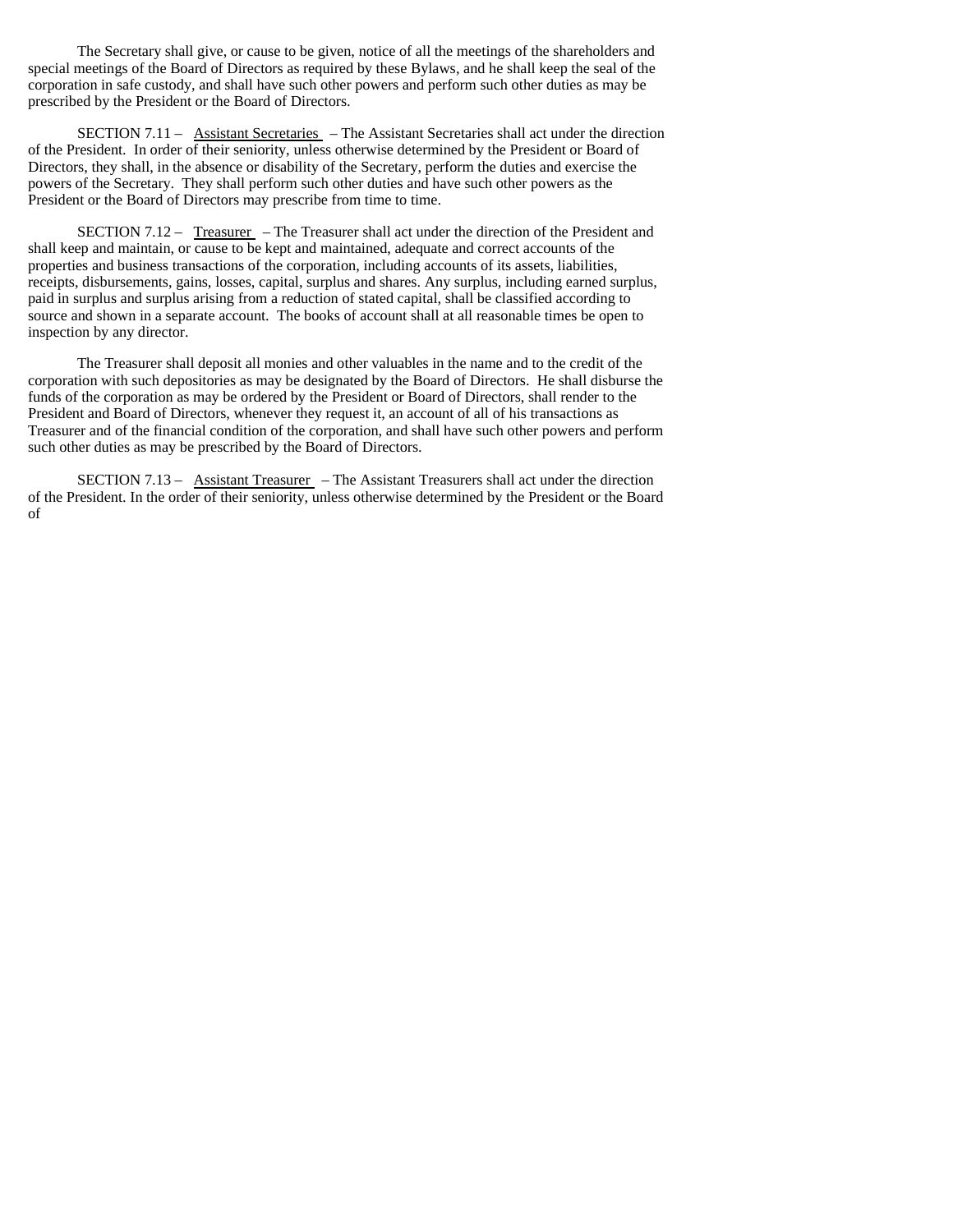The Secretary shall give, or cause to be given, notice of all the meetings of the shareholders and special meetings of the Board of Directors as required by these Bylaws, and he shall keep the seal of the corporation in safe custody, and shall have such other powers and perform such other duties as may be prescribed by the President or the Board of Directors.

SECTION 7.11 – Assistant Secretaries – The Assistant Secretaries shall act under the direction of the President. In order of their seniority, unless otherwise determined by the President or Board of Directors, they shall, in the absence or disability of the Secretary, perform the duties and exercise the powers of the Secretary. They shall perform such other duties and have such other powers as the President or the Board of Directors may prescribe from time to time.

SECTION 7.12 – Treasurer – The Treasurer shall act under the direction of the President and shall keep and maintain, or cause to be kept and maintained, adequate and correct accounts of the properties and business transactions of the corporation, including accounts of its assets, liabilities, receipts, disbursements, gains, losses, capital, surplus and shares. Any surplus, including earned surplus, paid in surplus and surplus arising from a reduction of stated capital, shall be classified according to source and shown in a separate account. The books of account shall at all reasonable times be open to inspection by any director.

The Treasurer shall deposit all monies and other valuables in the name and to the credit of the corporation with such depositories as may be designated by the Board of Directors. He shall disburse the funds of the corporation as may be ordered by the President or Board of Directors, shall render to the President and Board of Directors, whenever they request it, an account of all of his transactions as Treasurer and of the financial condition of the corporation, and shall have such other powers and perform such other duties as may be prescribed by the Board of Directors.

SECTION 7.13 – Assistant Treasurer – The Assistant Treasurers shall act under the direction of the President. In the order of their seniority, unless otherwise determined by the President or the Board of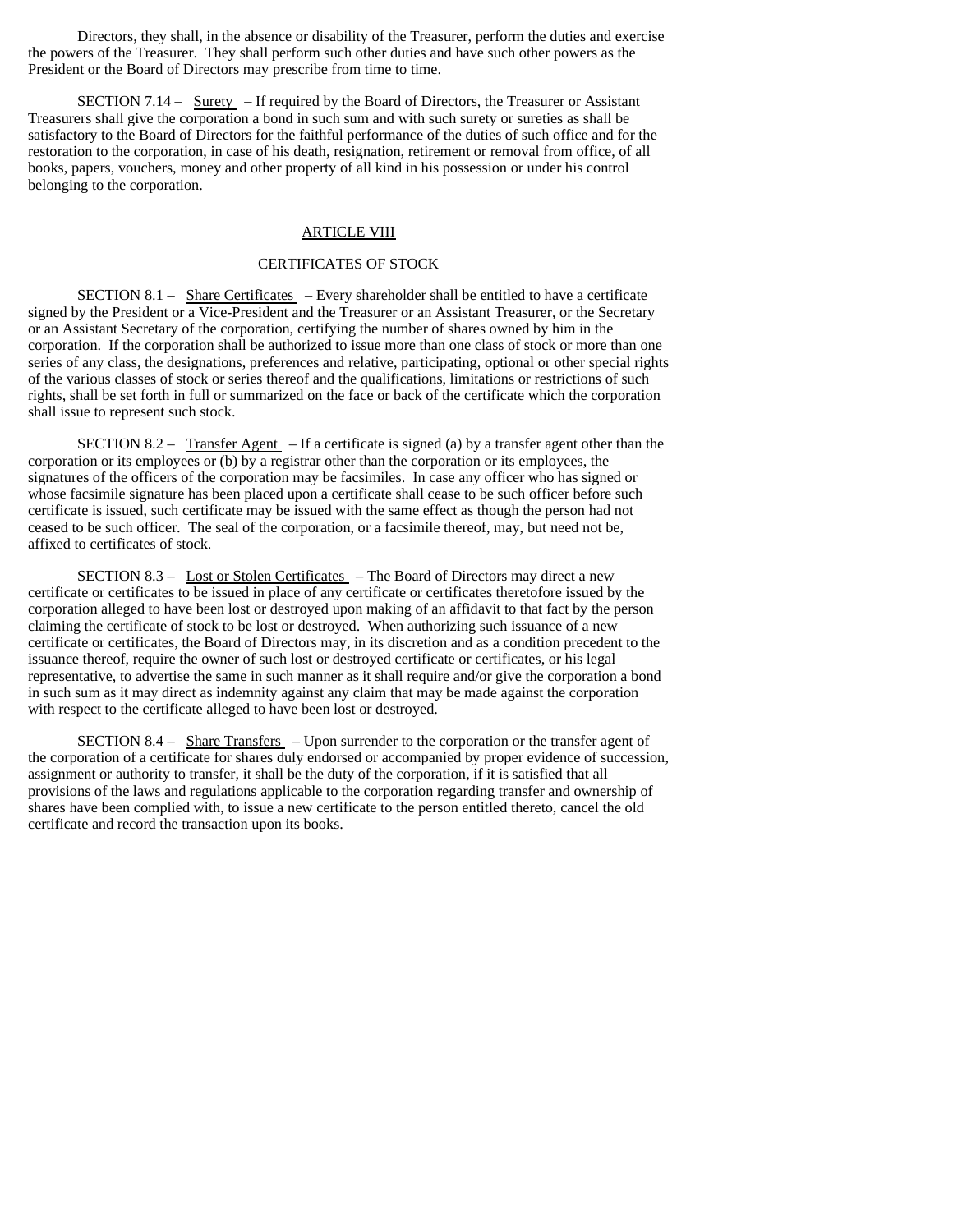Directors, they shall, in the absence or disability of the Treasurer, perform the duties and exercise the powers of the Treasurer. They shall perform such other duties and have such other powers as the President or the Board of Directors may prescribe from time to time.

SECTION 7.14 – Surety – If required by the Board of Directors, the Treasurer or Assistant Treasurers shall give the corporation a bond in such sum and with such surety or sureties as shall be satisfactory to the Board of Directors for the faithful performance of the duties of such office and for the restoration to the corporation, in case of his death, resignation, retirement or removal from office, of all books, papers, vouchers, money and other property of all kind in his possession or under his control belonging to the corporation.

#### **ARTICLE VIII**

#### CERTIFICATES OF STOCK

SECTION 8.1 – Share Certificates – Every shareholder shall be entitled to have a certificate signed by the President or a Vice-President and the Treasurer or an Assistant Treasurer, or the Secretary or an Assistant Secretary of the corporation, certifying the number of shares owned by him in the corporation. If the corporation shall be authorized to issue more than one class of stock or more than one series of any class, the designations, preferences and relative, participating, optional or other special rights of the various classes of stock or series thereof and the qualifications, limitations or restrictions of such rights, shall be set forth in full or summarized on the face or back of the certificate which the corporation shall issue to represent such stock.

SECTION 8.2 – Transfer Agent – If a certificate is signed (a) by a transfer agent other than the corporation or its employees or (b) by a registrar other than the corporation or its employees, the signatures of the officers of the corporation may be facsimiles. In case any officer who has signed or whose facsimile signature has been placed upon a certificate shall cease to be such officer before such certificate is issued, such certificate may be issued with the same effect as though the person had not ceased to be such officer. The seal of the corporation, or a facsimile thereof, may, but need not be, affixed to certificates of stock.

SECTION 8.3 – Lost or Stolen Certificates – The Board of Directors may direct a new certificate or certificates to be issued in place of any certificate or certificates theretofore issued by the corporation alleged to have been lost or destroyed upon making of an affidavit to that fact by the person claiming the certificate of stock to be lost or destroyed. When authorizing such issuance of a new certificate or certificates, the Board of Directors may, in its discretion and as a condition precedent to the issuance thereof, require the owner of such lost or destroyed certificate or certificates, or his legal representative, to advertise the same in such manner as it shall require and/or give the corporation a bond in such sum as it may direct as indemnity against any claim that may be made against the corporation with respect to the certificate alleged to have been lost or destroyed.

SECTION 8.4 – Share Transfers – Upon surrender to the corporation or the transfer agent of the corporation of a certificate for shares duly endorsed or accompanied by proper evidence of succession, assignment or authority to transfer, it shall be the duty of the corporation, if it is satisfied that all provisions of the laws and regulations applicable to the corporation regarding transfer and ownership of shares have been complied with, to issue a new certificate to the person entitled thereto, cancel the old certificate and record the transaction upon its books.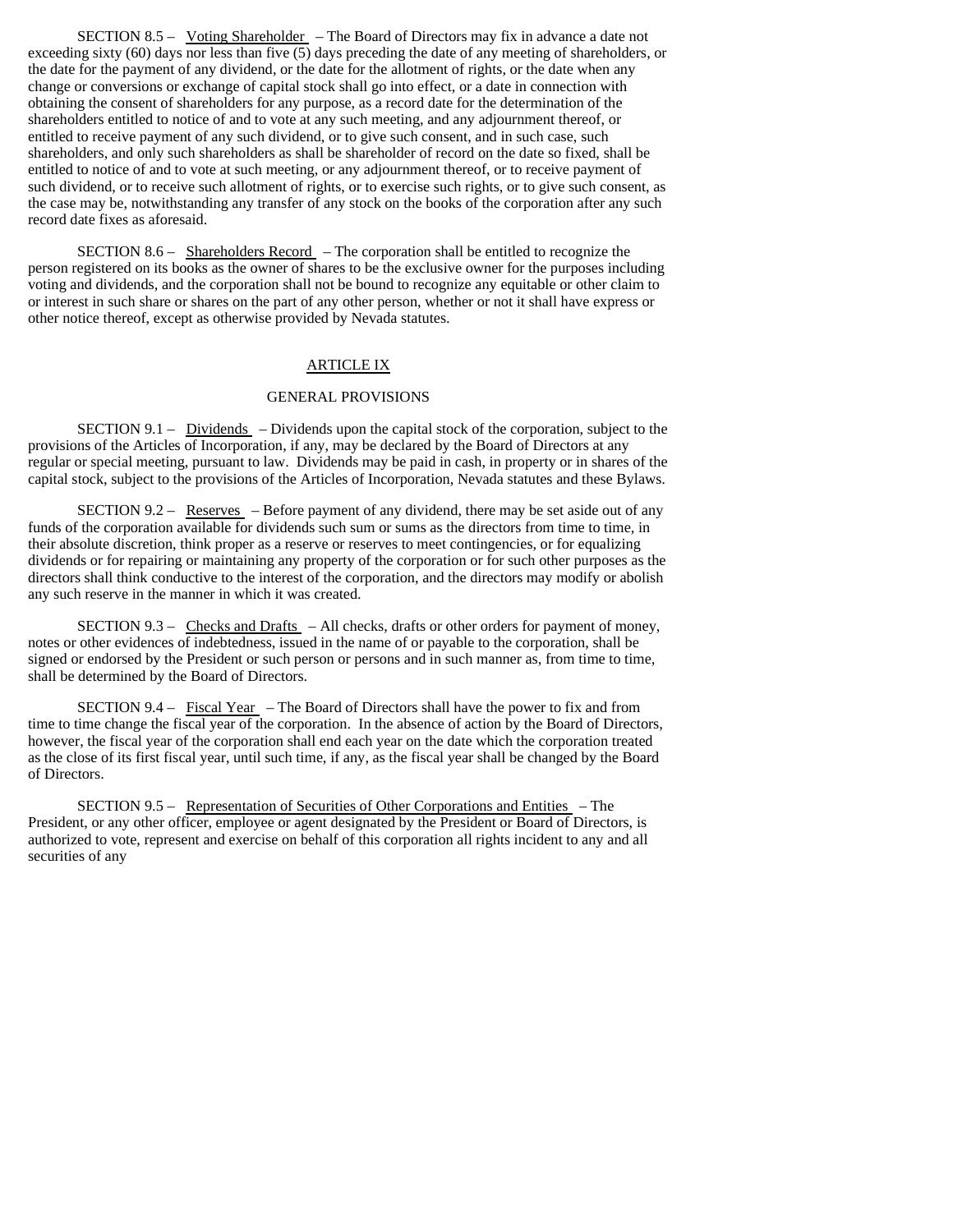SECTION 8.5 – Voting Shareholder – The Board of Directors may fix in advance a date not exceeding sixty (60) days nor less than five (5) days preceding the date of any meeting of shareholders, or the date for the payment of any dividend, or the date for the allotment of rights, or the date when any change or conversions or exchange of capital stock shall go into effect, or a date in connection with obtaining the consent of shareholders for any purpose, as a record date for the determination of the shareholders entitled to notice of and to vote at any such meeting, and any adjournment thereof, or entitled to receive payment of any such dividend, or to give such consent, and in such case, such shareholders, and only such shareholders as shall be shareholder of record on the date so fixed, shall be entitled to notice of and to vote at such meeting, or any adjournment thereof, or to receive payment of such dividend, or to receive such allotment of rights, or to exercise such rights, or to give such consent, as the case may be, notwithstanding any transfer of any stock on the books of the corporation after any such record date fixes as aforesaid.

SECTION 8.6 – Shareholders Record – The corporation shall be entitled to recognize the person registered on its books as the owner of shares to be the exclusive owner for the purposes including voting and dividends, and the corporation shall not be bound to recognize any equitable or other claim to or interest in such share or shares on the part of any other person, whether or not it shall have express or other notice thereof, except as otherwise provided by Nevada statutes.

#### ARTICLE IX

#### GENERAL PROVISIONS

SECTION 9.1 – Dividends – Dividends upon the capital stock of the corporation, subject to the provisions of the Articles of Incorporation, if any, may be declared by the Board of Directors at any regular or special meeting, pursuant to law. Dividends may be paid in cash, in property or in shares of the capital stock, subject to the provisions of the Articles of Incorporation, Nevada statutes and these Bylaws.

SECTION 9.2 – Reserves – Before payment of any dividend, there may be set aside out of any funds of the corporation available for dividends such sum or sums as the directors from time to time, in their absolute discretion, think proper as a reserve or reserves to meet contingencies, or for equalizing dividends or for repairing or maintaining any property of the corporation or for such other purposes as the directors shall think conductive to the interest of the corporation, and the directors may modify or abolish any such reserve in the manner in which it was created.

SECTION 9.3 – Checks and Drafts – All checks, drafts or other orders for payment of money, notes or other evidences of indebtedness, issued in the name of or payable to the corporation, shall be signed or endorsed by the President or such person or persons and in such manner as, from time to time, shall be determined by the Board of Directors.

SECTION 9.4 – Fiscal Year – The Board of Directors shall have the power to fix and from time to time change the fiscal year of the corporation. In the absence of action by the Board of Directors, however, the fiscal year of the corporation shall end each year on the date which the corporation treated as the close of its first fiscal year, until such time, if any, as the fiscal year shall be changed by the Board of Directors.

SECTION 9.5 – Representation of Securities of Other Corporations and Entities – The President, or any other officer, employee or agent designated by the President or Board of Directors, is authorized to vote, represent and exercise on behalf of this corporation all rights incident to any and all securities of any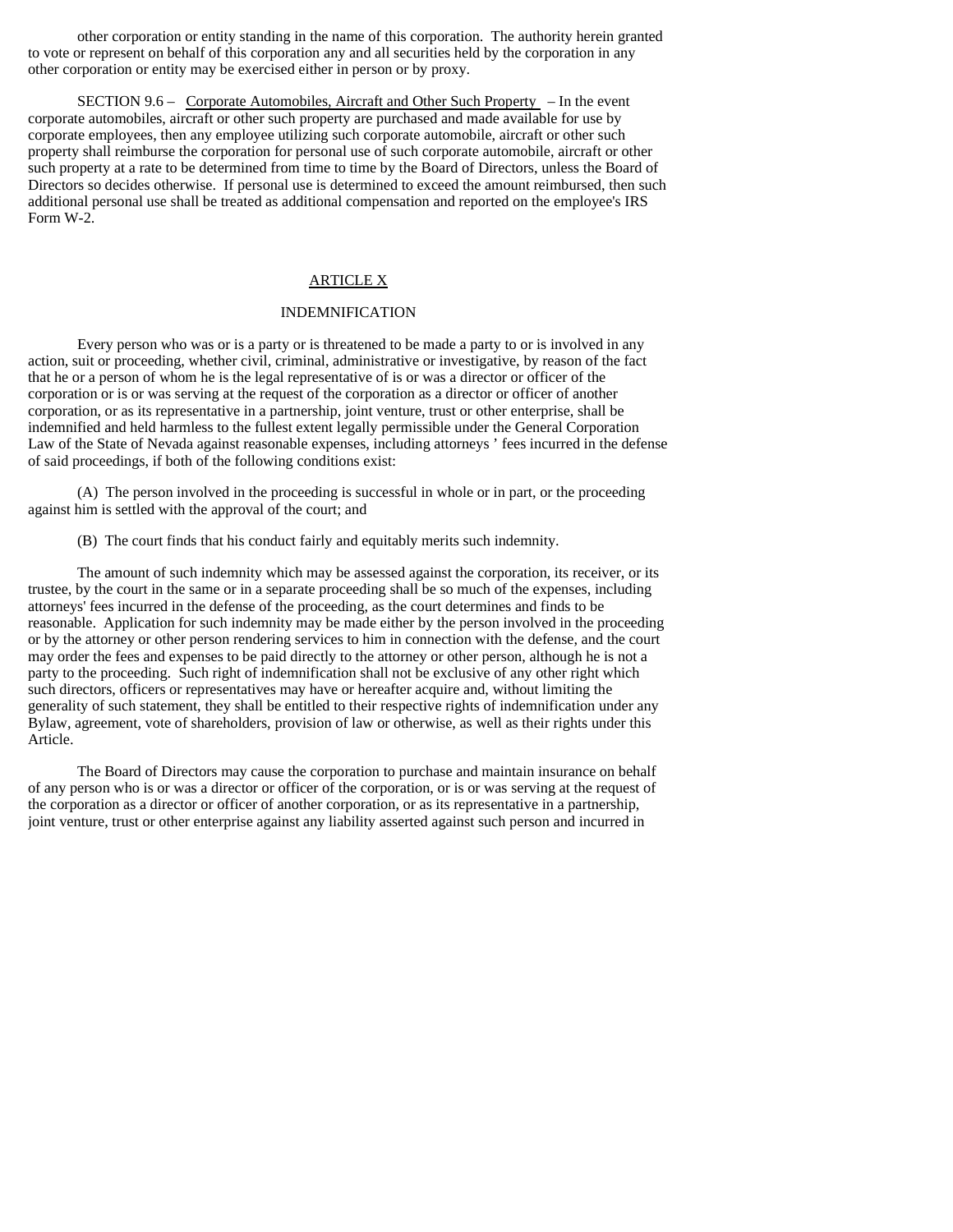other corporation or entity standing in the name of this corporation. The authority herein granted to vote or represent on behalf of this corporation any and all securities held by the corporation in any other corporation or entity may be exercised either in person or by proxy.

SECTION 9.6 – Corporate Automobiles, Aircraft and Other Such Property – In the event corporate automobiles, aircraft or other such property are purchased and made available for use by corporate employees, then any employee utilizing such corporate automobile, aircraft or other such property shall reimburse the corporation for personal use of such corporate automobile, aircraft or other such property at a rate to be determined from time to time by the Board of Directors, unless the Board of Directors so decides otherwise. If personal use is determined to exceed the amount reimbursed, then such additional personal use shall be treated as additional compensation and reported on the employee's IRS Form W-2.

## ARTICLE X

#### INDEMNIFICATION

Every person who was or is a party or is threatened to be made a party to or is involved in any action, suit or proceeding, whether civil, criminal, administrative or investigative, by reason of the fact that he or a person of whom he is the legal representative of is or was a director or officer of the corporation or is or was serving at the request of the corporation as a director or officer of another corporation, or as its representative in a partnership, joint venture, trust or other enterprise, shall be indemnified and held harmless to the fullest extent legally permissible under the General Corporation Law of the State of Nevada against reasonable expenses, including attorneys ' fees incurred in the defense of said proceedings, if both of the following conditions exist:

(A) The person involved in the proceeding is successful in whole or in part, or the proceeding against him is settled with the approval of the court; and

(B) The court finds that his conduct fairly and equitably merits such indemnity.

The amount of such indemnity which may be assessed against the corporation, its receiver, or its trustee, by the court in the same or in a separate proceeding shall be so much of the expenses, including attorneys' fees incurred in the defense of the proceeding, as the court determines and finds to be reasonable. Application for such indemnity may be made either by the person involved in the proceeding or by the attorney or other person rendering services to him in connection with the defense, and the court may order the fees and expenses to be paid directly to the attorney or other person, although he is not a party to the proceeding. Such right of indemnification shall not be exclusive of any other right which such directors, officers or representatives may have or hereafter acquire and, without limiting the generality of such statement, they shall be entitled to their respective rights of indemnification under any Bylaw, agreement, vote of shareholders, provision of law or otherwise, as well as their rights under this Article.

The Board of Directors may cause the corporation to purchase and maintain insurance on behalf of any person who is or was a director or officer of the corporation, or is or was serving at the request of the corporation as a director or officer of another corporation, or as its representative in a partnership, joint venture, trust or other enterprise against any liability asserted against such person and incurred in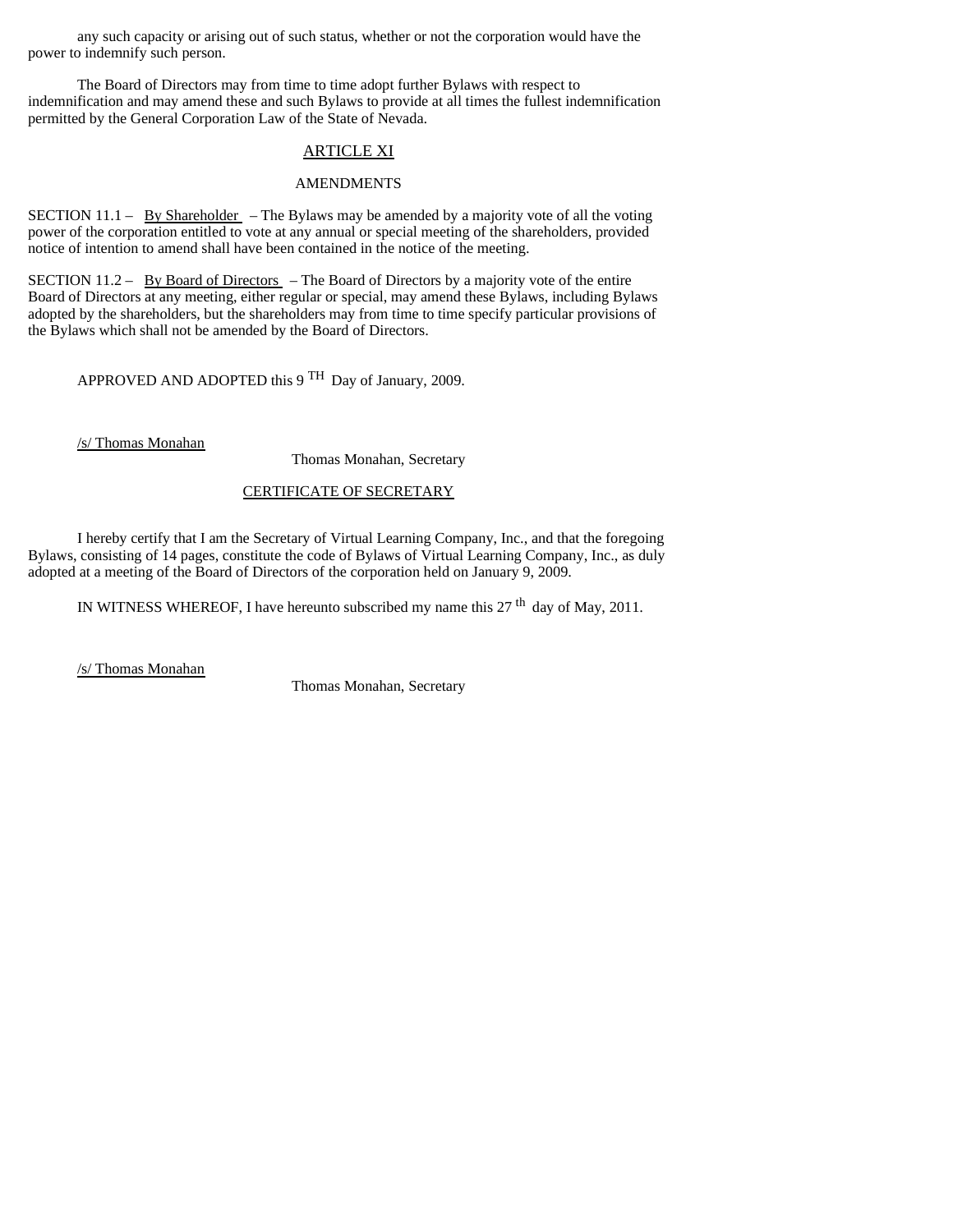any such capacity or arising out of such status, whether or not the corporation would have the power to indemnify such person.

The Board of Directors may from time to time adopt further Bylaws with respect to indemnification and may amend these and such Bylaws to provide at all times the fullest indemnification permitted by the General Corporation Law of the State of Nevada.

## ARTICLE XI

#### **AMENDMENTS**

SECTION 11.1 – By Shareholder – The Bylaws may be amended by a majority vote of all the voting power of the corporation entitled to vote at any annual or special meeting of the shareholders, provided notice of intention to amend shall have been contained in the notice of the meeting.

SECTION 11.2 – By Board of Directors – The Board of Directors by a majority vote of the entire Board of Directors at any meeting, either regular or special, may amend these Bylaws, including Bylaws adopted by the shareholders, but the shareholders may from time to time specify particular provisions of the Bylaws which shall not be amended by the Board of Directors.

APPROVED AND ADOPTED this 9 TH Day of January, 2009.

/s/ Thomas Monahan

Thomas Monahan, Secretary

### CERTIFICATE OF SECRETARY

I hereby certify that I am the Secretary of Virtual Learning Company, Inc., and that the foregoing Bylaws, consisting of 14 pages, constitute the code of Bylaws of Virtual Learning Company, Inc., as duly adopted at a meeting of the Board of Directors of the corporation held on January 9, 2009.

IN WITNESS WHEREOF, I have hereunto subscribed my name this  $27<sup>th</sup>$  day of May, 2011.

/s/ Thomas Monahan

Thomas Monahan, Secretary